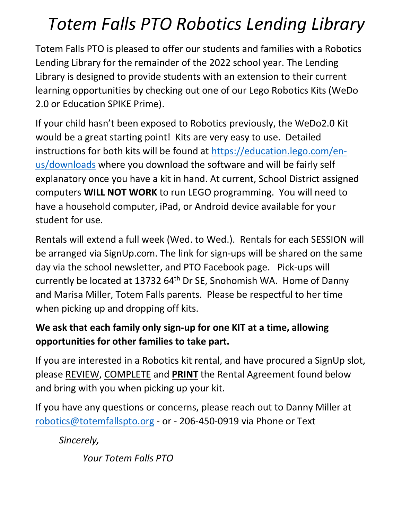## *Totem Falls PTO Robotics Lending Library*

Totem Falls PTO is pleased to offer our students and families with a Robotics Lending Library for the remainder of the 2022 school year. The Lending Library is designed to provide students with an extension to their current learning opportunities by checking out one of our Lego Robotics Kits (WeDo 2.0 or Education SPIKE Prime).

If your child hasn't been exposed to Robotics previously, the WeDo2.0 Kit would be a great starting point! Kits are very easy to use. Detailed instructions for both kits will be found at https://education.lego.com/enus/downloads where you download the software and will be fairly self explanatory once you have a kit in hand. At current, School District assigned computers **WILL NOT WORK** to run LEGO programming. You will need to have a household computer, iPad, or Android device available for your student for use.

Rentals will extend a full week (Wed. to Wed.). Rentals for each SESSION will be arranged via SignUp.com. The link for sign-ups will be shared on the same day via the school newsletter, and PTO Facebook page. Pick-ups will currently be located at 13732 64<sup>th</sup> Dr SE, Snohomish WA. Home of Danny and Marisa Miller, Totem Falls parents. Please be respectful to her time when picking up and dropping off kits.

## **We ask that each family only sign-up for one KIT at a time, allowing opportunities for other families to take part.**

If you are interested in a Robotics kit rental, and have procured a SignUp slot, please REVIEW, COMPLETE and **PRINT** the Rental Agreement found below and bring with you when picking up your kit.

If you have any questions or concerns, please reach out to Danny Miller at robotics@totemfallspto.org - or - 206-450-0919 via Phone or Text

*Sincerely,* 

*Your Totem Falls PTO*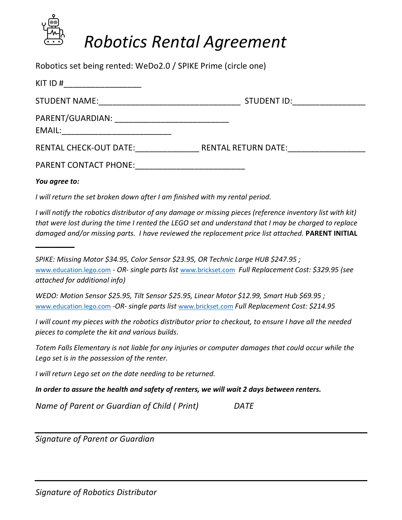

Robotics set being rented: WeDo2.0 / SPIKE Prime (circle one)

| KIT ID $#$                                                                                                                                   |                            |
|----------------------------------------------------------------------------------------------------------------------------------------------|----------------------------|
| <b>STUDENT NAME:</b><br><u> 1990 - Johann John Harry Harry Harry Harry Harry Harry Harry Harry Harry Harry Harry Harry Harry Harry Harry</u> | STUDENT ID:                |
| PARENT/GUARDIAN:<br>EMAIL:                                                                                                                   |                            |
| <b>RENTAL CHECK-OUT DATE:</b>                                                                                                                | <b>RENTAL RETURN DATE:</b> |
| <b>PARENT CONTACT PHONE:</b>                                                                                                                 |                            |

*You agree to:*

**\_\_\_\_\_\_\_\_\_\_**

*I will return the set broken down after I am finished with my rental period.*

I will notify the robotics distributor of any damage or missing pieces (reference inventory list with kit) that were lost during the time I rented the LEGO set and understand that I may be charged to replace *damaged and/or missing parts. I have reviewed the replacement price list attached.* **PARENT INITIAL**

*SPIKE: Missing Motor \$34.95, Color Sensor \$23.95, OR Technic Large HUB \$247.95 ;* www.education.lego.com *- OR- single parts list* www.brickset.com *Full Replacement Cost: \$329.95 (see attached for additional info)*

*WEDO: Motion Sensor \$25.95, Tilt Sensor \$25.95, Linear Motor \$12.99, Smart Hub \$69.95 ;* www.education.lego.com *-OR- single parts list* www.brickset.com *Full Replacement Cost: \$214.95*

I will count my pieces with the robotics distributor prior to checkout, to ensure I have all the needed *pieces to complete the kit and various builds.*

*Totem Falls Elementary is not liable for any injuries or computer damages that could occur while the Lego set is in the possession of the renter.*

*I will return Lego set on the date needing to be returned.*

*In order to assure the health and safety of renters, we will wait 2 days between renters.*

*Name of Parent or Guardian of Child ( Print) DATE* 

*Signature of Parent or Guardian*